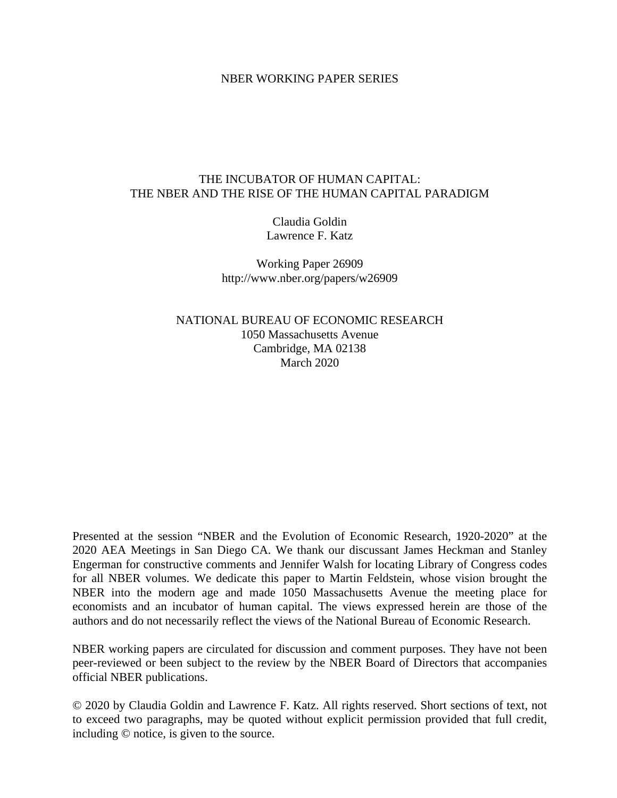#### NBER WORKING PAPER SERIES

#### THE INCUBATOR OF HUMAN CAPITAL: THE NBER AND THE RISE OF THE HUMAN CAPITAL PARADIGM

Claudia Goldin Lawrence F. Katz

Working Paper 26909 http://www.nber.org/papers/w26909

NATIONAL BUREAU OF ECONOMIC RESEARCH 1050 Massachusetts Avenue Cambridge, MA 02138 March 2020

Presented at the session "NBER and the Evolution of Economic Research, 1920-2020" at the 2020 AEA Meetings in San Diego CA. We thank our discussant James Heckman and Stanley Engerman for constructive comments and Jennifer Walsh for locating Library of Congress codes for all NBER volumes. We dedicate this paper to Martin Feldstein, whose vision brought the NBER into the modern age and made 1050 Massachusetts Avenue the meeting place for economists and an incubator of human capital. The views expressed herein are those of the authors and do not necessarily reflect the views of the National Bureau of Economic Research.

NBER working papers are circulated for discussion and comment purposes. They have not been peer-reviewed or been subject to the review by the NBER Board of Directors that accompanies official NBER publications.

© 2020 by Claudia Goldin and Lawrence F. Katz. All rights reserved. Short sections of text, not to exceed two paragraphs, may be quoted without explicit permission provided that full credit, including © notice, is given to the source.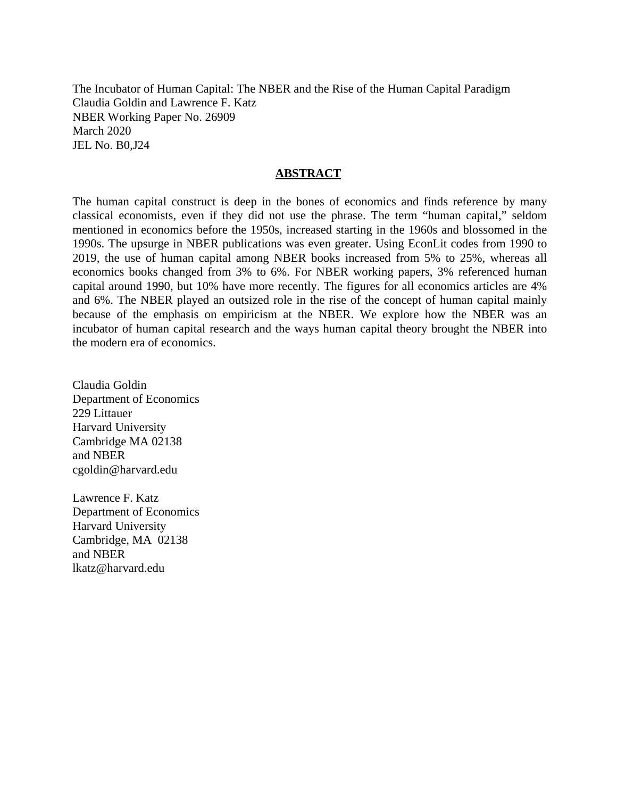The Incubator of Human Capital: The NBER and the Rise of the Human Capital Paradigm Claudia Goldin and Lawrence F. Katz NBER Working Paper No. 26909 March 2020 JEL No. B0,J24

#### **ABSTRACT**

The human capital construct is deep in the bones of economics and finds reference by many classical economists, even if they did not use the phrase. The term "human capital," seldom mentioned in economics before the 1950s, increased starting in the 1960s and blossomed in the 1990s. The upsurge in NBER publications was even greater. Using EconLit codes from 1990 to 2019, the use of human capital among NBER books increased from 5% to 25%, whereas all economics books changed from 3% to 6%. For NBER working papers, 3% referenced human capital around 1990, but 10% have more recently. The figures for all economics articles are 4% and 6%. The NBER played an outsized role in the rise of the concept of human capital mainly because of the emphasis on empiricism at the NBER. We explore how the NBER was an incubator of human capital research and the ways human capital theory brought the NBER into the modern era of economics.

Claudia Goldin Department of Economics 229 Littauer Harvard University Cambridge MA 02138 and NBER cgoldin@harvard.edu

Lawrence F. Katz Department of Economics Harvard University Cambridge, MA 02138 and NBER lkatz@harvard.edu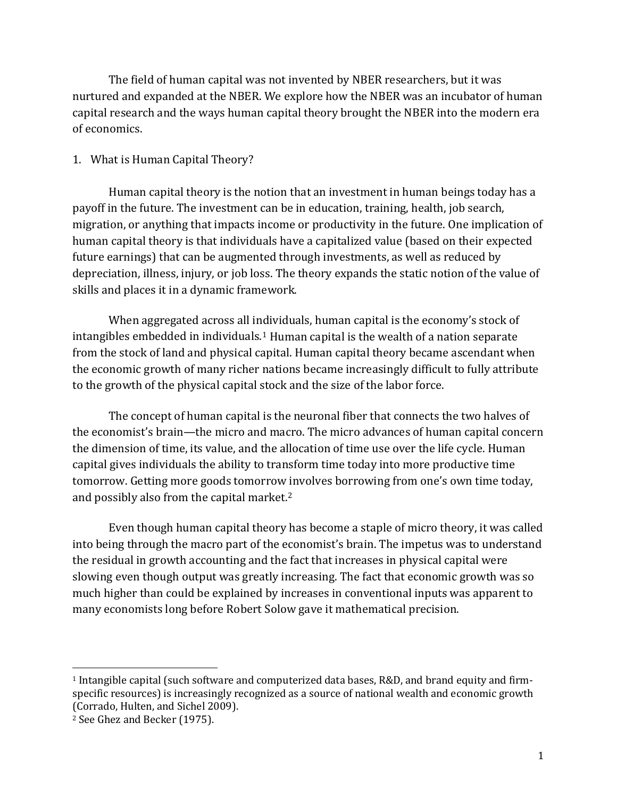The field of human capital was not invented by NBER researchers, but it was nurtured and expanded at the NBER. We explore how the NBER was an incubator of human capital research and the ways human capital theory brought the NBER into the modern era of economics.

#### 1. What is Human Capital Theory?

Human capital theory is the notion that an investment in human beings today has a payoff in the future. The investment can be in education, training, health, job search, migration, or anything that impacts income or productivity in the future. One implication of human capital theory is that individuals have a capitalized value (based on their expected future earnings) that can be augmented through investments, as well as reduced by depreciation, illness, injury, or job loss. The theory expands the static notion of the value of skills and places it in a dynamic framework.

When aggregated across all individuals, human capital is the economy's stock of intangibles embedded in individuals. [1](#page-2-0) Human capital is the wealth of a nation separate from the stock of land and physical capital. Human capital theory became ascendant when the economic growth of many richer nations became increasingly difficult to fully attribute to the growth of the physical capital stock and the size of the labor force.

The concept of human capital is the neuronal fiber that connects the two halves of the economist's brain—the micro and macro. The micro advances of human capital concern the dimension of time, its value, and the allocation of time use over the life cycle. Human capital gives individuals the ability to transform time today into more productive time tomorrow. Getting more goods tomorrow involves borrowing from one's own time today, and possibly also from the capital market.[2](#page-2-1)

Even though human capital theory has become a staple of micro theory, it was called into being through the macro part of the economist's brain. The impetus was to understand the residual in growth accounting and the fact that increases in physical capital were slowing even though output was greatly increasing. The fact that economic growth was so much higher than could be explained by increases in conventional inputs was apparent to many economists long before Robert Solow gave it mathematical precision.

l

<span id="page-2-0"></span><sup>1</sup> Intangible capital (such software and computerized data bases, R&D, and brand equity and firmspecific resources) is increasingly recognized as a source of national wealth and economic growth (Corrado, Hulten, and Sichel 2009).

<span id="page-2-1"></span><sup>2</sup> See Ghez and Becker (1975).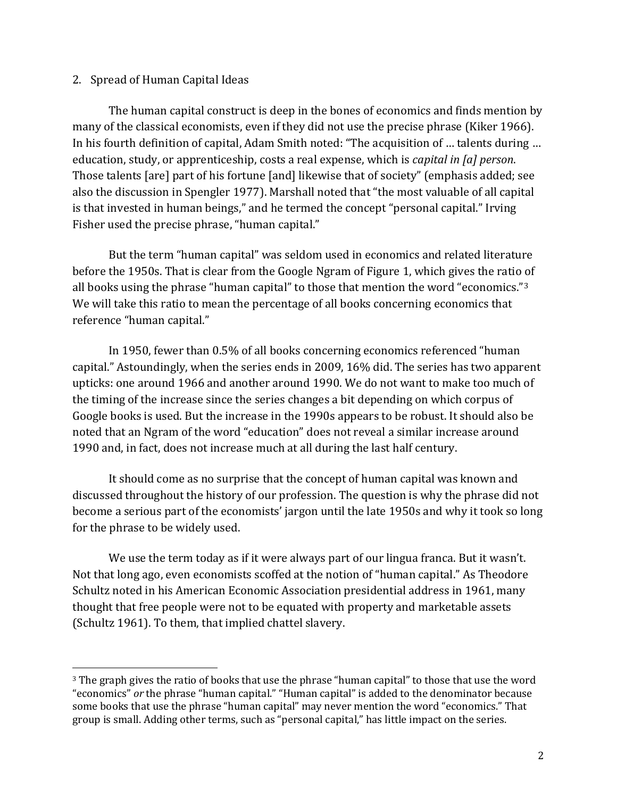### 2. Spread of Human Capital Ideas

l

The human capital construct is deep in the bones of economics and finds mention by many of the classical economists, even if they did not use the precise phrase (Kiker 1966). In his fourth definition of capital, Adam Smith noted: "The acquisition of … talents during … education, study, or apprenticeship, costs a real expense, which is *capital in [a] person*. Those talents [are] part of his fortune [and] likewise that of society" (emphasis added; see also the discussion in Spengler 1977). Marshall noted that "the most valuable of all capital is that invested in human beings," and he termed the concept "personal capital." Irving Fisher used the precise phrase, "human capital."

But the term "human capital" was seldom used in economics and related literature before the 1950s. That is clear from the Google Ngram of Figure 1, which gives the ratio of all books using the phrase "human capital" to those that mention the word "economics."[3](#page-3-0) We will take this ratio to mean the percentage of all books concerning economics that reference "human capital."

In 1950, fewer than 0.5% of all books concerning economics referenced "human capital." Astoundingly, when the series ends in 2009, 16% did. The series has two apparent upticks: one around 1966 and another around 1990. We do not want to make too much of the timing of the increase since the series changes a bit depending on which corpus of Google books is used. But the increase in the 1990s appears to be robust. It should also be noted that an Ngram of the word "education" does not reveal a similar increase around 1990 and, in fact, does not increase much at all during the last half century.

It should come as no surprise that the concept of human capital was known and discussed throughout the history of our profession. The question is why the phrase did not become a serious part of the economists' jargon until the late 1950s and why it took so long for the phrase to be widely used.

We use the term today as if it were always part of our lingua franca. But it wasn't. Not that long ago, even economists scoffed at the notion of "human capital." As Theodore Schultz noted in his American Economic Association presidential address in 1961, many thought that free people were not to be equated with property and marketable assets (Schultz 1961). To them, that implied chattel slavery.

<span id="page-3-0"></span><sup>3</sup> The graph gives the ratio of books that use the phrase "human capital" to those that use the word "economics" *or* the phrase "human capital." "Human capital" is added to the denominator because some books that use the phrase "human capital" may never mention the word "economics." That group is small. Adding other terms, such as "personal capital," has little impact on the series.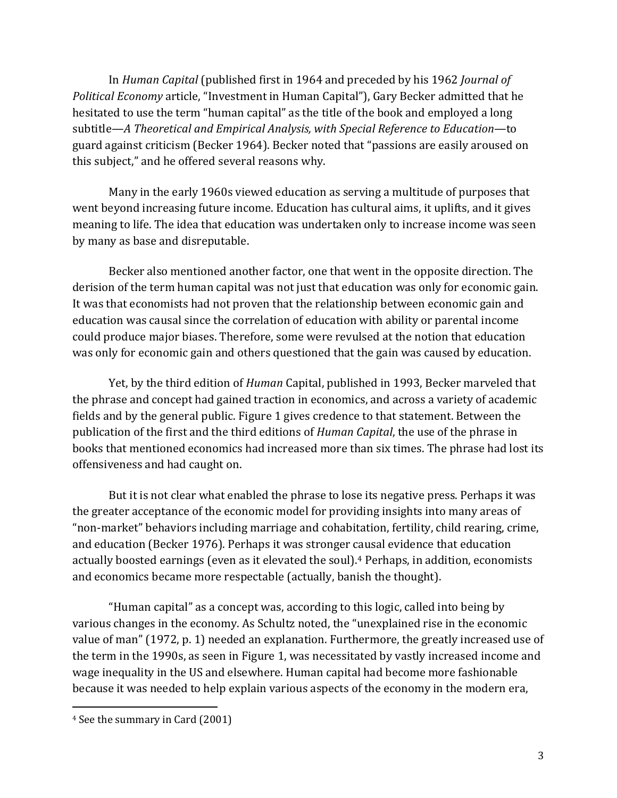In *Human Capital* (published first in 1964 and preceded by his 1962 *Journal of Political Economy* article, "Investment in Human Capital"), Gary Becker admitted that he hesitated to use the term "human capital" as the title of the book and employed a long subtitle—*A Theoretical and Empirical Analysis, with Special Reference to Education*—to guard against criticism (Becker 1964). Becker noted that "passions are easily aroused on this subject," and he offered several reasons why.

Many in the early 1960s viewed education as serving a multitude of purposes that went beyond increasing future income. Education has cultural aims, it uplifts, and it gives meaning to life. The idea that education was undertaken only to increase income was seen by many as base and disreputable.

Becker also mentioned another factor, one that went in the opposite direction. The derision of the term human capital was not just that education was only for economic gain. It was that economists had not proven that the relationship between economic gain and education was causal since the correlation of education with ability or parental income could produce major biases. Therefore, some were revulsed at the notion that education was only for economic gain and others questioned that the gain was caused by education.

Yet, by the third edition of *Human* Capital, published in 1993, Becker marveled that the phrase and concept had gained traction in economics, and across a variety of academic fields and by the general public. Figure 1 gives credence to that statement. Between the publication of the first and the third editions of *Human Capital*, the use of the phrase in books that mentioned economics had increased more than six times. The phrase had lost its offensiveness and had caught on.

But it is not clear what enabled the phrase to lose its negative press. Perhaps it was the greater acceptance of the economic model for providing insights into many areas of "non-market" behaviors including marriage and cohabitation, fertility, child rearing, crime, and education (Becker 1976). Perhaps it was stronger causal evidence that education actually boosted earnings (even as it elevated the soul).<sup>[4](#page-4-0)</sup> Perhaps, in addition, economists and economics became more respectable (actually, banish the thought).

"Human capital" as a concept was, according to this logic, called into being by various changes in the economy. As Schultz noted, the "unexplained rise in the economic value of man" (1972, p. 1) needed an explanation. Furthermore, the greatly increased use of the term in the 1990s, as seen in Figure 1, was necessitated by vastly increased income and wage inequality in the US and elsewhere. Human capital had become more fashionable because it was needed to help explain various aspects of the economy in the modern era,

 $\overline{\phantom{a}}$ 

<span id="page-4-0"></span><sup>4</sup> See the summary in Card (2001)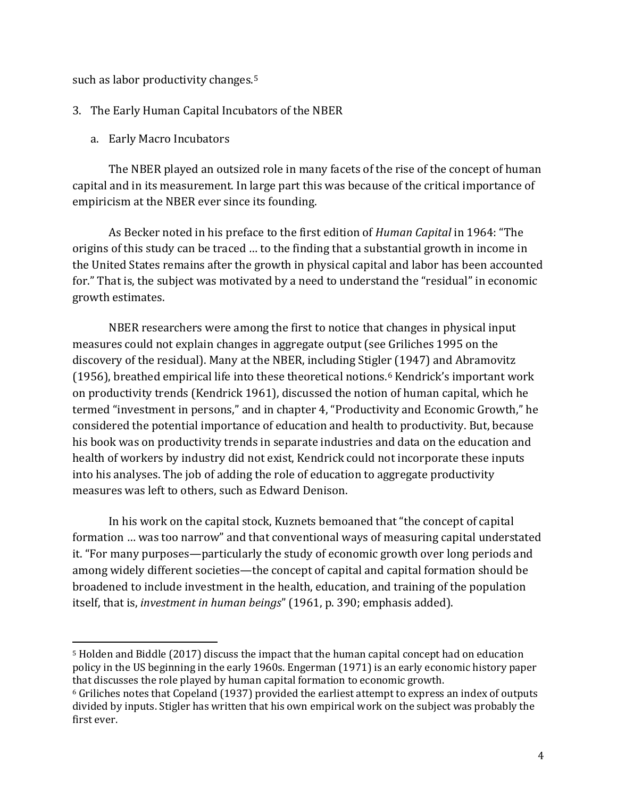such as labor productivity changes.<sup>[5](#page-5-0)</sup>

- 3. The Early Human Capital Incubators of the NBER
	- a. Early Macro Incubators

 $\overline{\phantom{a}}$ 

The NBER played an outsized role in many facets of the rise of the concept of human capital and in its measurement. In large part this was because of the critical importance of empiricism at the NBER ever since its founding.

As Becker noted in his preface to the first edition of *Human Capital* in 1964: "The origins of this study can be traced … to the finding that a substantial growth in income in the United States remains after the growth in physical capital and labor has been accounted for." That is, the subject was motivated by a need to understand the "residual" in economic growth estimates.

NBER researchers were among the first to notice that changes in physical input measures could not explain changes in aggregate output (see Griliches 1995 on the discovery of the residual). Many at the NBER, including Stigler (1947) and Abramovitz (1956), breathed empirical life into these theoretical notions.[6](#page-5-1) Kendrick's important work on productivity trends (Kendrick 1961), discussed the notion of human capital, which he termed "investment in persons," and in chapter 4, "Productivity and Economic Growth," he considered the potential importance of education and health to productivity. But, because his book was on productivity trends in separate industries and data on the education and health of workers by industry did not exist, Kendrick could not incorporate these inputs into his analyses. The job of adding the role of education to aggregate productivity measures was left to others, such as Edward Denison.

In his work on the capital stock, Kuznets bemoaned that "the concept of capital formation … was too narrow" and that conventional ways of measuring capital understated it. "For many purposes—particularly the study of economic growth over long periods and among widely different societies—the concept of capital and capital formation should be broadened to include investment in the health, education, and training of the population itself, that is, *investment in human beings*" (1961, p. 390; emphasis added).

<span id="page-5-0"></span><sup>5</sup> Holden and Biddle (2017) discuss the impact that the human capital concept had on education policy in the US beginning in the early 1960s. Engerman (1971) is an early economic history paper that discusses the role played by human capital formation to economic growth.

<span id="page-5-1"></span><sup>6</sup> Griliches notes that Copeland (1937) provided the earliest attempt to express an index of outputs divided by inputs. Stigler has written that his own empirical work on the subject was probably the first ever.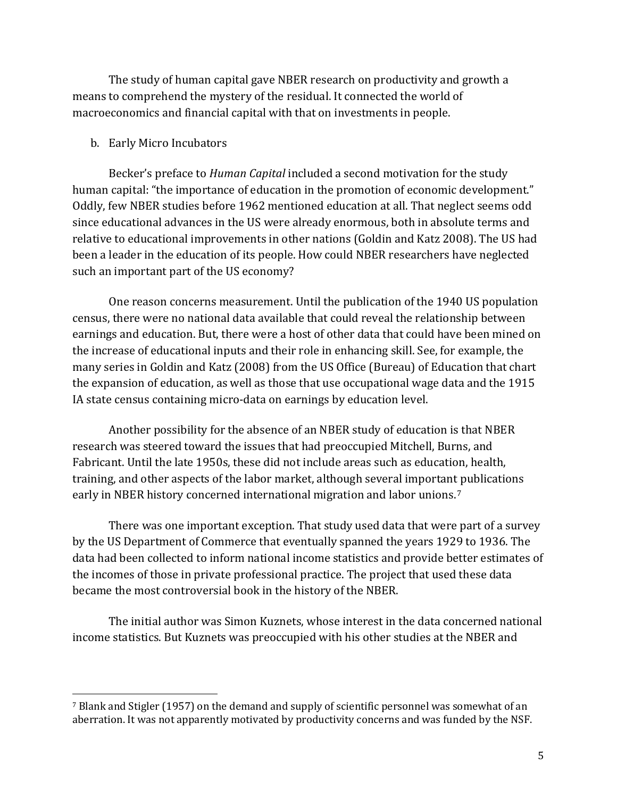The study of human capital gave NBER research on productivity and growth a means to comprehend the mystery of the residual. It connected the world of macroeconomics and financial capital with that on investments in people.

### b. Early Micro Incubators

l

Becker's preface to *Human Capital* included a second motivation for the study human capital: "the importance of education in the promotion of economic development." Oddly, few NBER studies before 1962 mentioned education at all. That neglect seems odd since educational advances in the US were already enormous, both in absolute terms and relative to educational improvements in other nations (Goldin and Katz 2008). The US had been a leader in the education of its people. How could NBER researchers have neglected such an important part of the US economy?

One reason concerns measurement. Until the publication of the 1940 US population census, there were no national data available that could reveal the relationship between earnings and education. But, there were a host of other data that could have been mined on the increase of educational inputs and their role in enhancing skill. See, for example, the many series in Goldin and Katz (2008) from the US Office (Bureau) of Education that chart the expansion of education, as well as those that use occupational wage data and the 1915 IA state census containing micro-data on earnings by education level.

Another possibility for the absence of an NBER study of education is that NBER research was steered toward the issues that had preoccupied Mitchell, Burns, and Fabricant. Until the late 1950s, these did not include areas such as education, health, training, and other aspects of the labor market, although several important publications early in NBER history concerned international migration and labor unions.[7](#page-6-0)

There was one important exception. That study used data that were part of a survey by the US Department of Commerce that eventually spanned the years 1929 to 1936. The data had been collected to inform national income statistics and provide better estimates of the incomes of those in private professional practice. The project that used these data became the most controversial book in the history of the NBER.

The initial author was Simon Kuznets, whose interest in the data concerned national income statistics. But Kuznets was preoccupied with his other studies at the NBER and

<span id="page-6-0"></span><sup>7</sup> Blank and Stigler (1957) on the demand and supply of scientific personnel was somewhat of an aberration. It was not apparently motivated by productivity concerns and was funded by the NSF.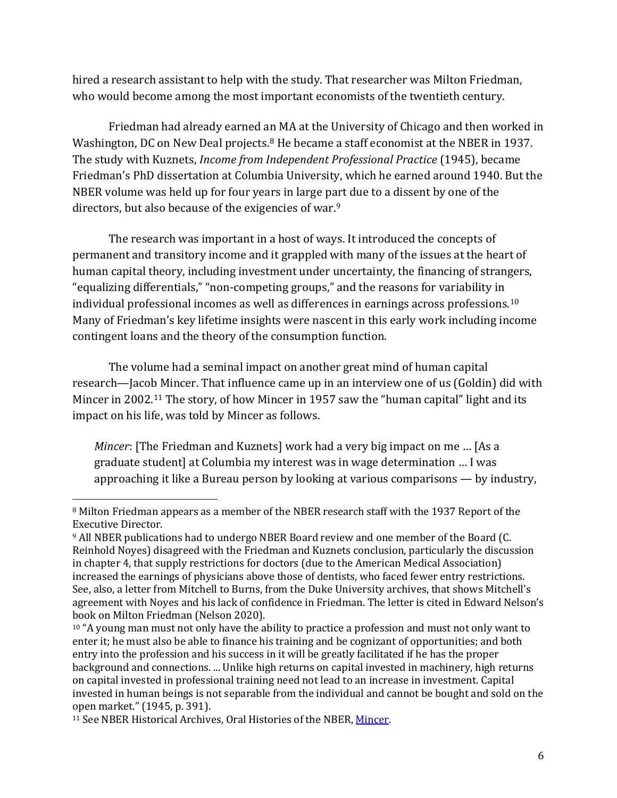hired a research assistant to help with the study. That researcher was Milton Friedman, who would become among the most important economists of the twentieth century.

Friedman had already earned an MA at the University of Chicago and then worked in Washington, DC on New Deal projects.<sup>[8](#page-7-0)</sup> He became a staff economist at the NBER in 1937. The study with Kuznets, *Income from Independent Professional Practice* (1945), became Friedman's PhD dissertation at Columbia University, which he earned around 1940. But the NBER volume was held up for four years in large part due to a dissent by one of the directors, but also because of the exigencies of war.<sup>[9](#page-7-1)</sup>

The research was important in a host of ways. It introduced the concepts of permanent and transitory income and it grappled with many of the issues at the heart of human capital theory, including investment under uncertainty, the financing of strangers, "equalizing differentials," "non-competing groups," and the reasons for variability in individual professional incomes as well as differences in earnings across professions. $^{\rm 10}$  $^{\rm 10}$  $^{\rm 10}$ Many of Friedman's key lifetime insights were nascent in this early work including income contingent loans and the theory of the consumption function.

The volume had a seminal impact on another great mind of human capital research—Jacob Mincer. That influence came up in an interview one of us (Goldin) did with Mincer in 2002.<sup>[11](#page-7-3)</sup> The story, of how Mincer in 1957 saw the "human capital" light and its impact on his life, was told by Mincer as follows.

*Mincer*: [The Friedman and Kuznets] work had a very big impact on me … [As a graduate student] at Columbia my interest was in wage determination … I was approaching it like a Bureau person by looking at various comparisons — by industry,

l

<span id="page-7-0"></span><sup>8</sup> Milton Friedman appears as a member of the NBER research staff with the 1937 Report of the Executive Director.

<span id="page-7-1"></span><sup>9</sup> All NBER publications had to undergo NBER Board review and one member of the Board (C. Reinhold Noyes) disagreed with the Friedman and Kuznets conclusion, particularly the discussion in chapter 4, that supply restrictions for doctors (due to the American Medical Association) increased the earnings of physicians above those of dentists, who faced fewer entry restrictions. See, also, a letter from Mitchell to Burns, from the Duke University archives, that shows Mitchell's agreement with Noyes and his lack of confidence in Friedman. The letter is cited in Edward Nelson's

<span id="page-7-2"></span> $10$  "A young man must not only have the ability to practice a profession and must not only want to enter it; he must also be able to finance his training and be cognizant of opportunities; and both entry into the profession and his success in it will be greatly facilitated if he has the proper background and connections. ... Unlike high returns on capital invested in machinery, high returns on capital invested in professional training need not lead to an increase in investment. Capital invested in human beings is not separable from the individual and cannot be bought and sold on the open market." (1945, p. 391).

<span id="page-7-3"></span><sup>&</sup>lt;sup>11</sup> See NBER Historical Archives, Oral Histories of the NBER, [Mincer.](https://data.nber.org/nberhistory/jacobmincer/Mincer_interview.pdf)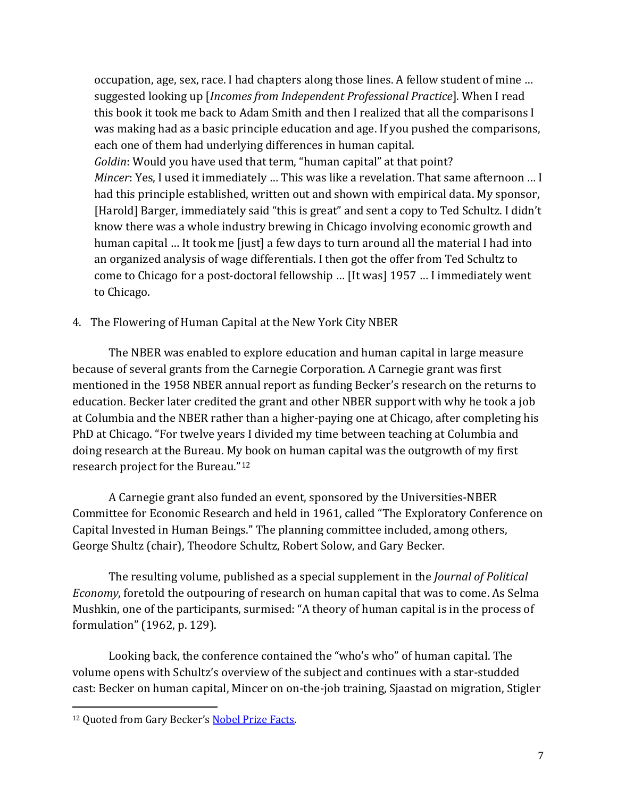occupation, age, sex, race. I had chapters along those lines. A fellow student of mine … suggested looking up [*Incomes from Independent Professional Practice*]. When I read this book it took me back to Adam Smith and then I realized that all the comparisons I was making had as a basic principle education and age. If you pushed the comparisons, each one of them had underlying differences in human capital. *Goldin*: Would you have used that term, "human capital" at that point? *Mincer*: Yes, I used it immediately … This was like a revelation. That same afternoon … I had this principle established, written out and shown with empirical data. My sponsor, [Harold] Barger, immediately said "this is great" and sent a copy to Ted Schultz. I didn't know there was a whole industry brewing in Chicago involving economic growth and human capital … It took me [just] a few days to turn around all the material I had into an organized analysis of wage differentials. I then got the offer from Ted Schultz to come to Chicago for a post-doctoral fellowship … [It was] 1957 … I immediately went to Chicago.

4. The Flowering of Human Capital at the New York City NBER

The NBER was enabled to explore education and human capital in large measure because of several grants from the Carnegie Corporation. A Carnegie grant was first mentioned in the 1958 NBER annual report as funding Becker's research on the returns to education. Becker later credited the grant and other NBER support with why he took a job at Columbia and the NBER rather than a higher-paying one at Chicago, after completing his PhD at Chicago. "For twelve years I divided my time between teaching at Columbia and doing research at the Bureau. My book on human capital was the outgrowth of my first research project for the Bureau."[12](#page-8-0)

A Carnegie grant also funded an event, sponsored by the Universities-NBER Committee for Economic Research and held in 1961, called "The Exploratory Conference on Capital Invested in Human Beings." The planning committee included, among others, George Shultz (chair), Theodore Schultz, Robert Solow, and Gary Becker.

The resulting volume, published as a special supplement in the *Journal of Political Economy*, foretold the outpouring of research on human capital that was to come. As Selma Mushkin, one of the participants, surmised: "A theory of human capital is in the process of formulation" (1962, p. 129).

Looking back, the conference contained the "who's who" of human capital. The volume opens with Schultz's overview of the subject and continues with a star-studded cast: Becker on human capital, Mincer on on-the-job training, Sjaastad on migration, Stigler

 $\overline{\phantom{a}}$ 

<span id="page-8-0"></span><sup>&</sup>lt;sup>12</sup> Quoted from Gary Becker's Nobel Prize Facts.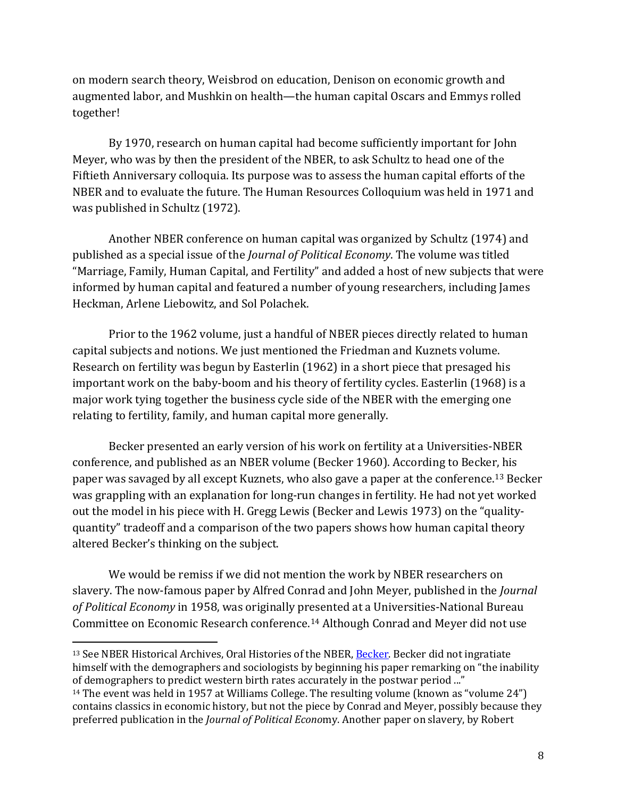on modern search theory, Weisbrod on education, Denison on economic growth and augmented labor, and Mushkin on health—the human capital Oscars and Emmys rolled together!

By 1970, research on human capital had become sufficiently important for John Meyer, who was by then the president of the NBER, to ask Schultz to head one of the Fiftieth Anniversary colloquia. Its purpose was to assess the human capital efforts of the NBER and to evaluate the future. The Human Resources Colloquium was held in 1971 and was published in Schultz (1972).

Another NBER conference on human capital was organized by Schultz (1974) and published as a special issue of the *Journal of Political Economy*. The volume was titled "Marriage, Family, Human Capital, and Fertility" and added a host of new subjects that were informed by human capital and featured a number of young researchers, including James Heckman, Arlene Liebowitz, and Sol Polachek.

Prior to the 1962 volume, just a handful of NBER pieces directly related to human capital subjects and notions. We just mentioned the Friedman and Kuznets volume. Research on fertility was begun by Easterlin (1962) in a short piece that presaged his important work on the baby-boom and his theory of fertility cycles. Easterlin (1968) is a major work tying together the business cycle side of the NBER with the emerging one relating to fertility, family, and human capital more generally.

Becker presented an early version of his work on fertility at a Universities-NBER conference, and published as an NBER volume (Becker 1960). According to Becker, his paper was savaged by all except Kuznets, who also gave a paper at the conference. [13](#page-9-0) Becker was grappling with an explanation for long-run changes in fertility. He had not yet worked out the model in his piece with H. Gregg Lewis (Becker and Lewis 1973) on the "qualityquantity" tradeoff and a comparison of the two papers shows how human capital theory altered Becker's thinking on the subject.

We would be remiss if we did not mention the work by NBER researchers on slavery. The now-famous paper by Alfred Conrad and John Meyer, published in the *Journal of Political Economy* in 1958, was originally presented at a Universities-National Bureau Committee on Economic Research conference. [14](#page-9-1) Although Conrad and Meyer did not use

 $\overline{\phantom{a}}$ 

<span id="page-9-0"></span><sup>&</sup>lt;sup>13</sup> See NBER Historical Archives, Oral Histories of the NBER, [Becker.](https://data.nber.org/nberhistory/oralhistories2.html) Becker did not ingratiate himself with the demographers and sociologists by beginning his paper remarking on "the inability of demographers to predict western birth rates accurately in the postwar period ..." <sup>14</sup> The event was held in 1957 at Williams College. The resulting volume (known as "volume 24")

<span id="page-9-1"></span>contains classics in economic history, but not the piece by Conrad and Meyer, possibly because they preferred publication in the *Journal of Political Econo*my. Another paper on slavery, by Robert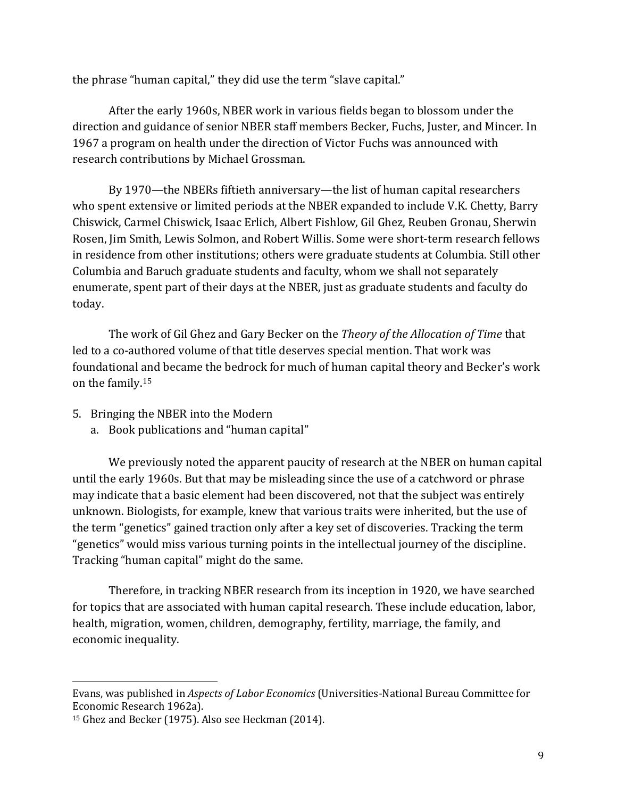the phrase "human capital," they did use the term "slave capital."

After the early 1960s, NBER work in various fields began to blossom under the direction and guidance of senior NBER staff members Becker, Fuchs, Juster, and Mincer. In 1967 a program on health under the direction of Victor Fuchs was announced with research contributions by Michael Grossman.

By 1970—the NBERs fiftieth anniversary—the list of human capital researchers who spent extensive or limited periods at the NBER expanded to include V.K. Chetty, Barry Chiswick, Carmel Chiswick, Isaac Erlich, Albert Fishlow, Gil Ghez, Reuben Gronau, Sherwin Rosen, Jim Smith, Lewis Solmon, and Robert Willis. Some were short-term research fellows in residence from other institutions; others were graduate students at Columbia. Still other Columbia and Baruch graduate students and faculty, whom we shall not separately enumerate, spent part of their days at the NBER, just as graduate students and faculty do today.

The work of Gil Ghez and Gary Becker on the *Theory of the Allocation of Time* that led to a co-authored volume of that title deserves special mention. That work was foundational and became the bedrock for much of human capital theory and Becker's work on the family.[15](#page-10-0)

5. Bringing the NBER into the Modern

a. Book publications and "human capital"

We previously noted the apparent paucity of research at the NBER on human capital until the early 1960s. But that may be misleading since the use of a catchword or phrase may indicate that a basic element had been discovered, not that the subject was entirely unknown. Biologists, for example, knew that various traits were inherited, but the use of the term "genetics" gained traction only after a key set of discoveries. Tracking the term "genetics" would miss various turning points in the intellectual journey of the discipline. Tracking "human capital" might do the same.

Therefore, in tracking NBER research from its inception in 1920, we have searched for topics that are associated with human capital research. These include education, labor, health, migration, women, children, demography, fertility, marriage, the family, and economic inequality.

 $\overline{a}$ 

Evans, was published in *Aspects of Labor Economics* (Universities-National Bureau Committee for

<span id="page-10-0"></span><sup>&</sup>lt;sup>15</sup> Ghez and Becker (1975). Also see Heckman (2014).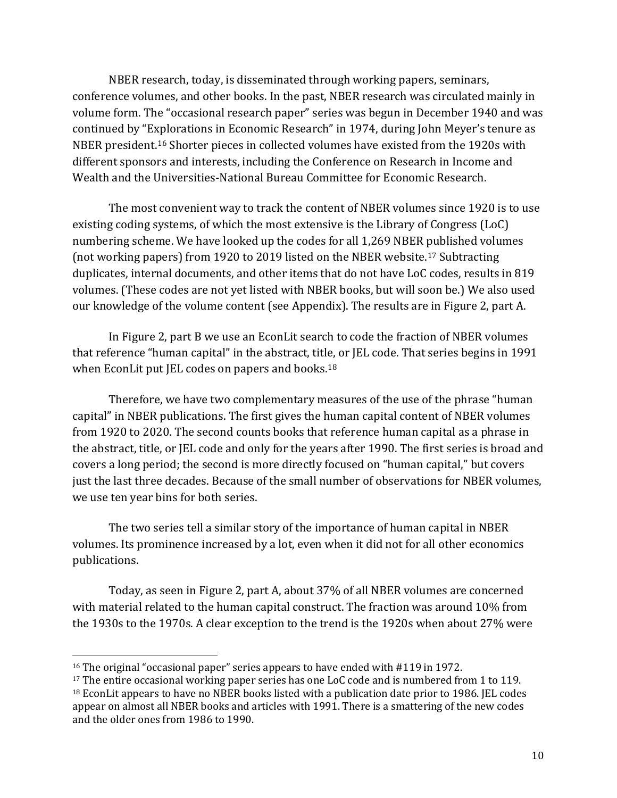NBER research, today, is disseminated through working papers, seminars, conference volumes, and other books. In the past, NBER research was circulated mainly in volume form. The "occasional research paper" series was begun in December 1940 and was continued by "Explorations in Economic Research" in 1974, during John Meyer's tenure as NBER president. [16](#page-11-0) Shorter pieces in collected volumes have existed from the 1920s with different sponsors and interests, including the Conference on Research in Income and Wealth and the Universities-National Bureau Committee for Economic Research.

The most convenient way to track the content of NBER volumes since 1920 is to use existing coding systems, of which the most extensive is the Library of Congress (LoC) numbering scheme. We have looked up the codes for all 1,269 NBER published volumes (not working papers) from 1920 to 2019 listed on the NBER website.[17](#page-11-1) Subtracting duplicates, internal documents, and other items that do not have LoC codes, results in 819 volumes. (These codes are not yet listed with NBER books, but will soon be.) We also used our knowledge of the volume content (see Appendix). The results are in Figure 2, part A.

In Figure 2, part B we use an EconLit search to code the fraction of NBER volumes that reference "human capital" in the abstract, title, or JEL code. That series begins in 1991 when EconLit put JEL codes on papers and books.<sup>[18](#page-11-2)</sup>

Therefore, we have two complementary measures of the use of the phrase "human capital" in NBER publications. The first gives the human capital content of NBER volumes from 1920 to 2020. The second counts books that reference human capital as a phrase in the abstract, title, or JEL code and only for the years after 1990. The first series is broad and covers a long period; the second is more directly focused on "human capital," but covers just the last three decades. Because of the small number of observations for NBER volumes, we use ten year bins for both series.

The two series tell a similar story of the importance of human capital in NBER volumes. Its prominence increased by a lot, even when it did not for all other economics publications.

Today, as seen in Figure 2, part A, about 37% of all NBER volumes are concerned with material related to the human capital construct. The fraction was around 10% from the 1930s to the 1970s. A clear exception to the trend is the 1920s when about 27% were

l

<span id="page-11-0"></span><sup>16</sup> The original "occasional paper" series appears to have ended with #119 in 1972.

<span id="page-11-1"></span><sup>&</sup>lt;sup>17</sup> The entire occasional working paper series has one LoC code and is numbered from 1 to 119.

<span id="page-11-2"></span><sup>&</sup>lt;sup>18</sup> EconLit appears to have no NBER books listed with a publication date prior to 1986. JEL codes appear on almost all NBER books and articles with 1991. There is a smattering of the new codes and the older ones from 1986 to 1990.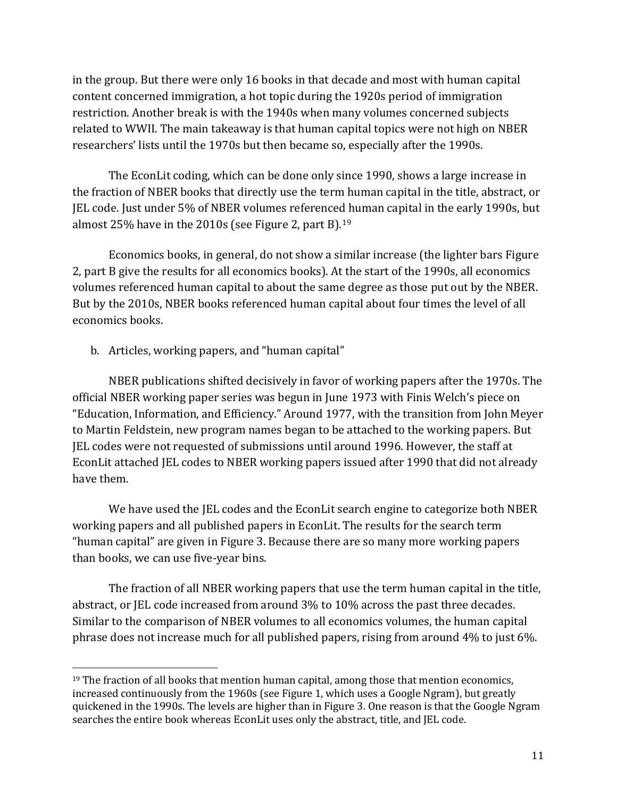in the group. But there were only 16 books in that decade and most with human capital content concerned immigration, a hot topic during the 1920s period of immigration restriction. Another break is with the 1940s when many volumes concerned subjects related to WWII. The main takeaway is that human capital topics were not high on NBER researchers' lists until the 1970s but then became so, especially after the 1990s.

The EconLit coding, which can be done only since 1990, shows a large increase in the fraction of NBER books that directly use the term human capital in the title, abstract, or JEL code. Just under 5% of NBER volumes referenced human capital in the early 1990s, but almost 25% have in the 2010s (see Figure 2, part B). [19](#page-12-0) 

Economics books, in general, do not show a similar increase (the lighter bars Figure 2, part B give the results for all economics books). At the start of the 1990s, all economics volumes referenced human capital to about the same degree as those put out by the NBER. But by the 2010s, NBER books referenced human capital about four times the level of all economics books.

b. Articles, working papers, and "human capital"

l

NBER publications shifted decisively in favor of working papers after the 1970s. The official NBER working paper series was begun in June 1973 with Finis Welch's piece on "Education, Information, and Efficiency." Around 1977, with the transition from John Meyer to Martin Feldstein, new program names began to be attached to the working papers. But JEL codes were not requested of submissions until around 1996. However, the staff at EconLit attached JEL codes to NBER working papers issued after 1990 that did not already have them.

We have used the JEL codes and the EconLit search engine to categorize both NBER working papers and all published papers in EconLit. The results for the search term "human capital" are given in Figure 3. Because there are so many more working papers than books, we can use five-year bins.

The fraction of all NBER working papers that use the term human capital in the title, abstract, or JEL code increased from around 3% to 10% across the past three decades. Similar to the comparison of NBER volumes to all economics volumes, the human capital phrase does not increase much for all published papers, rising from around 4% to just 6%.

<span id="page-12-0"></span><sup>&</sup>lt;sup>19</sup> The fraction of all books that mention human capital, among those that mention economics, increased continuously from the 1960s (see Figure 1, which uses a Google Ngram), but greatly quickened in the 1990s. The levels are higher than in Figure 3. One reason is that the Google Ngram searches the entire book whereas EconLit uses only the abstract, title, and JEL code.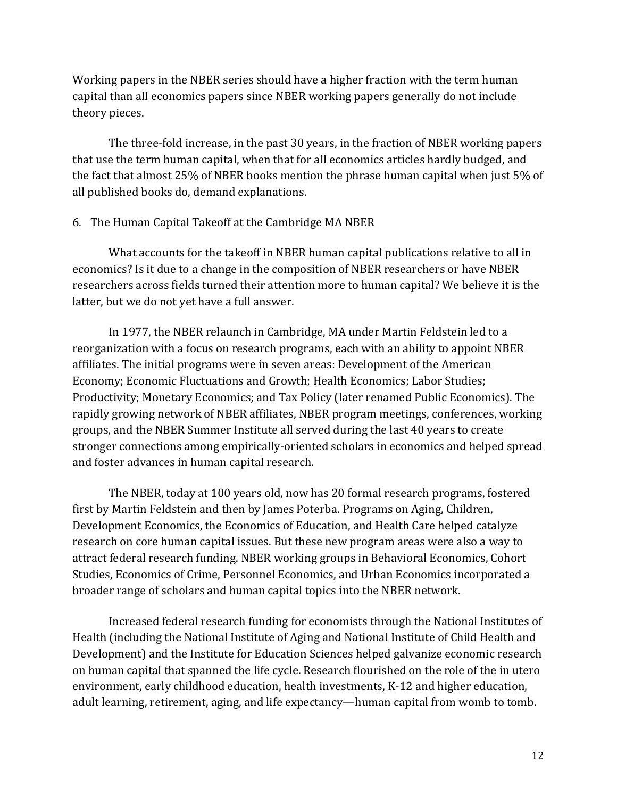Working papers in the NBER series should have a higher fraction with the term human capital than all economics papers since NBER working papers generally do not include theory pieces.

The three-fold increase, in the past 30 years, in the fraction of NBER working papers that use the term human capital, when that for all economics articles hardly budged, and the fact that almost 25% of NBER books mention the phrase human capital when just 5% of all published books do, demand explanations.

### 6. The Human Capital Takeoff at the Cambridge MA NBER

What accounts for the takeoff in NBER human capital publications relative to all in economics? Is it due to a change in the composition of NBER researchers or have NBER researchers across fields turned their attention more to human capital? We believe it is the latter, but we do not yet have a full answer.

In 1977, the NBER relaunch in Cambridge, MA under Martin Feldstein led to a reorganization with a focus on research programs, each with an ability to appoint NBER affiliates. The initial programs were in seven areas: Development of the American Economy; Economic Fluctuations and Growth; Health Economics; Labor Studies; Productivity; Monetary Economics; and Tax Policy (later renamed Public Economics). The rapidly growing network of NBER affiliates, NBER program meetings, conferences, working groups, and the NBER Summer Institute all served during the last 40 years to create stronger connections among empirically-oriented scholars in economics and helped spread and foster advances in human capital research.

The NBER, today at 100 years old, now has 20 formal research programs, fostered first by Martin Feldstein and then by James Poterba. Programs on Aging, Children, Development Economics, the Economics of Education, and Health Care helped catalyze research on core human capital issues. But these new program areas were also a way to attract federal research funding. NBER working groups in Behavioral Economics, Cohort Studies, Economics of Crime, Personnel Economics, and Urban Economics incorporated a broader range of scholars and human capital topics into the NBER network.

Increased federal research funding for economists through the National Institutes of Health (including the National Institute of Aging and National Institute of Child Health and Development) and the Institute for Education Sciences helped galvanize economic research on human capital that spanned the life cycle. Research flourished on the role of the in utero environment, early childhood education, health investments, K-12 and higher education, adult learning, retirement, aging, and life expectancy—human capital from womb to tomb.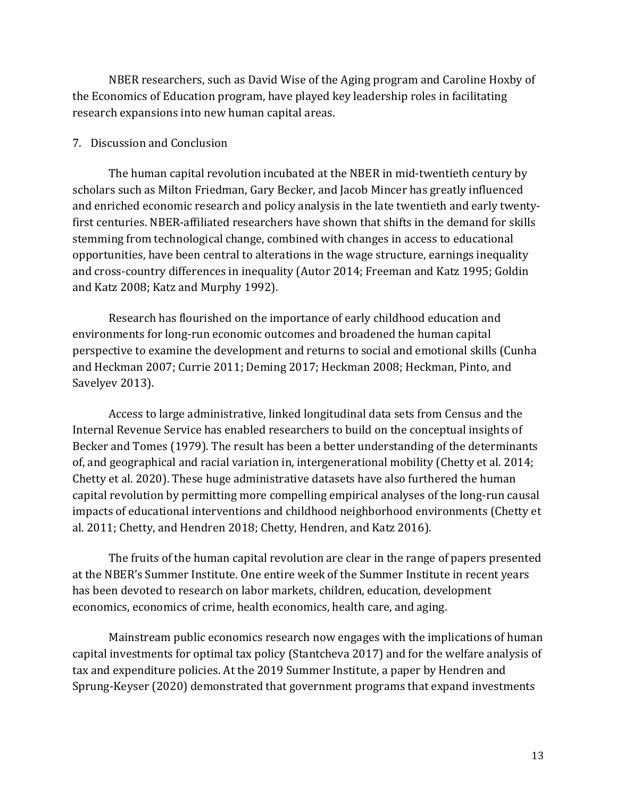NBER researchers, such as David Wise of the Aging program and Caroline Hoxby of the Economics of Education program, have played key leadership roles in facilitating research expansions into new human capital areas.

### 7. Discussion and Conclusion

The human capital revolution incubated at the NBER in mid-twentieth century by scholars such as Milton Friedman, Gary Becker, and Jacob Mincer has greatly influenced and enriched economic research and policy analysis in the late twentieth and early twentyfirst centuries. NBER-affiliated researchers have shown that shifts in the demand for skills stemming from technological change, combined with changes in access to educational opportunities, have been central to alterations in the wage structure, earnings inequality and cross-country differences in inequality (Autor 2014; Freeman and Katz 1995; Goldin and Katz 2008; Katz and Murphy 1992).

Research has flourished on the importance of early childhood education and environments for long-run economic outcomes and broadened the human capital perspective to examine the development and returns to social and emotional skills (Cunha and Heckman 2007; Currie 2011; Deming 2017; Heckman 2008; Heckman, Pinto, and Savelyev 2013).

Access to large administrative, linked longitudinal data sets from Census and the Internal Revenue Service has enabled researchers to build on the conceptual insights of Becker and Tomes (1979). The result has been a better understanding of the determinants of, and geographical and racial variation in, intergenerational mobility (Chetty et al. 2014; Chetty et al. 2020). These huge administrative datasets have also furthered the human capital revolution by permitting more compelling empirical analyses of the long-run causal impacts of educational interventions and childhood neighborhood environments (Chetty et al. 2011; Chetty, and Hendren 2018; Chetty, Hendren, and Katz 2016).

The fruits of the human capital revolution are clear in the range of papers presented at the NBER's Summer Institute. One entire week of the Summer Institute in recent years has been devoted to research on labor markets, children, education, development economics, economics of crime, health economics, health care, and aging.

Mainstream public economics research now engages with the implications of human capital investments for optimal tax policy (Stantcheva 2017) and for the welfare analysis of tax and expenditure policies. At the 2019 Summer Institute, a paper by Hendren and Sprung-Keyser (2020) demonstrated that government programs that expand investments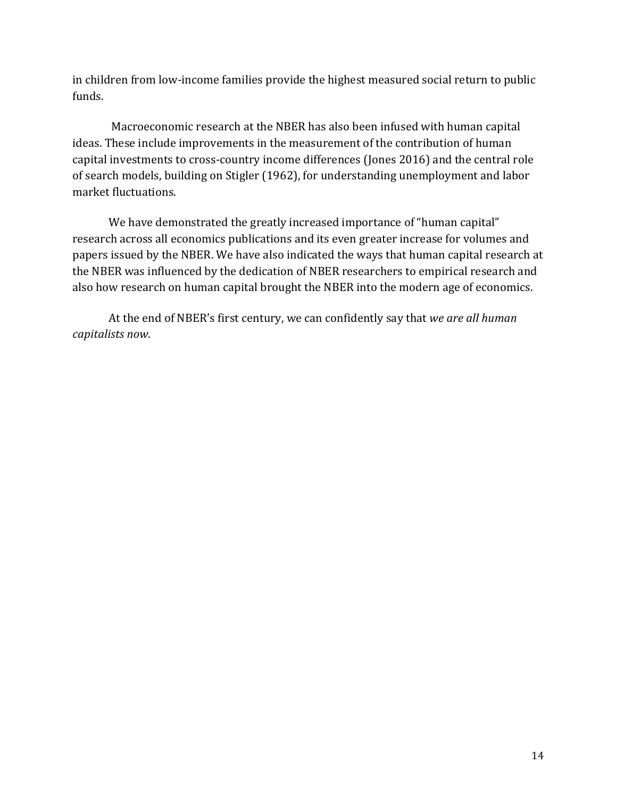in children from low-income families provide the highest measured social return to public funds.

Macroeconomic research at the NBER has also been infused with human capital ideas. These include improvements in the measurement of the contribution of human capital investments to cross-country income differences (Jones 2016) and the central role of search models, building on Stigler (1962), for understanding unemployment and labor market fluctuations.

We have demonstrated the greatly increased importance of "human capital" research across all economics publications and its even greater increase for volumes and papers issued by the NBER. We have also indicated the ways that human capital research at the NBER was influenced by the dedication of NBER researchers to empirical research and also how research on human capital brought the NBER into the modern age of economics.

At the end of NBER's first century, we can confidently say that *we are all human capitalists now*.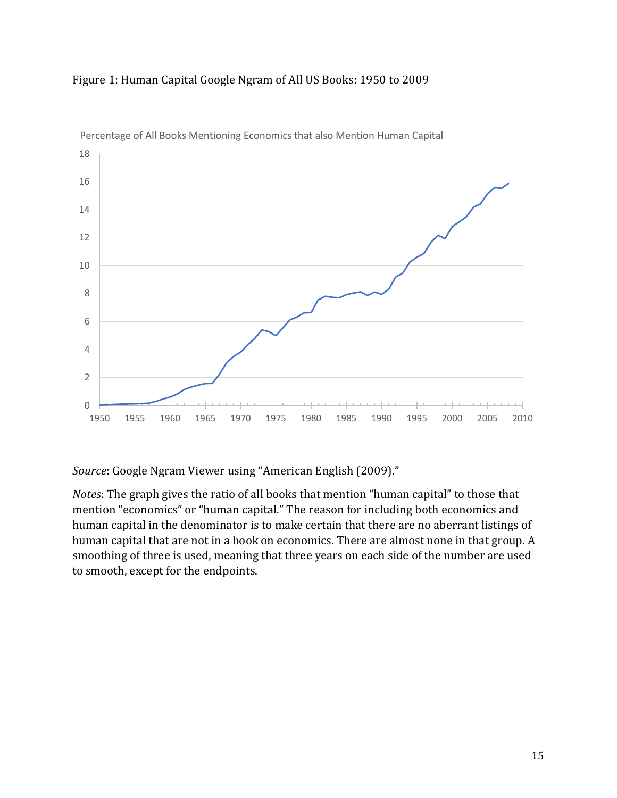## Figure 1: Human Capital Google Ngram of All US Books: 1950 to 2009



Percentage of All Books Mentioning Economics that also Mention Human Capital

*Source*: Google Ngram Viewer using "American English (2009)."

*Notes*: The graph gives the ratio of all books that mention "human capital" to those that mention "economics" or "human capital." The reason for including both economics and human capital in the denominator is to make certain that there are no aberrant listings of human capital that are not in a book on economics. There are almost none in that group. A smoothing of three is used, meaning that three years on each side of the number are used to smooth, except for the endpoints.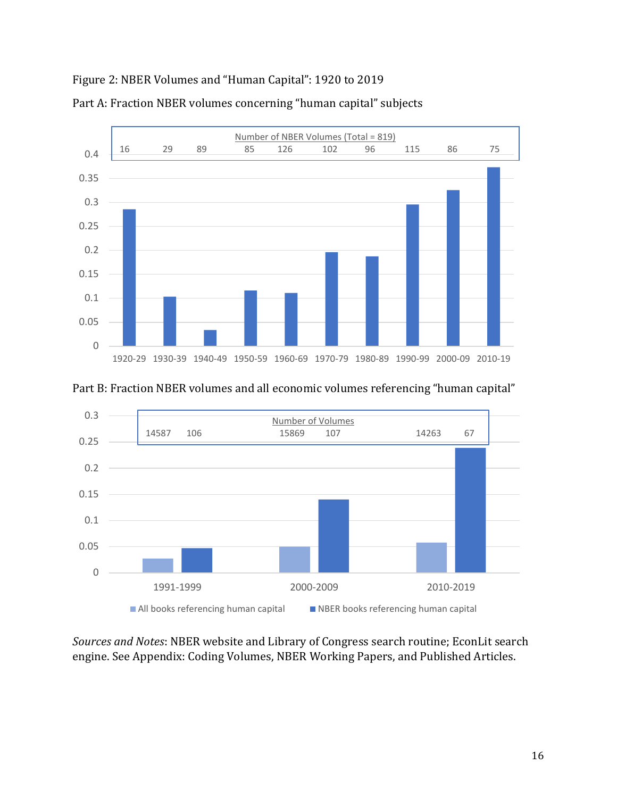# Figure 2: NBER Volumes and "Human Capital": 1920 to 2019



### Part A: Fraction NBER volumes concerning "human capital" subjects

# Part B: Fraction NBER volumes and all economic volumes referencing "human capital"



*Sources and Notes*: NBER website and Library of Congress search routine; EconLit search engine. See Appendix: Coding Volumes, NBER Working Papers, and Published Articles.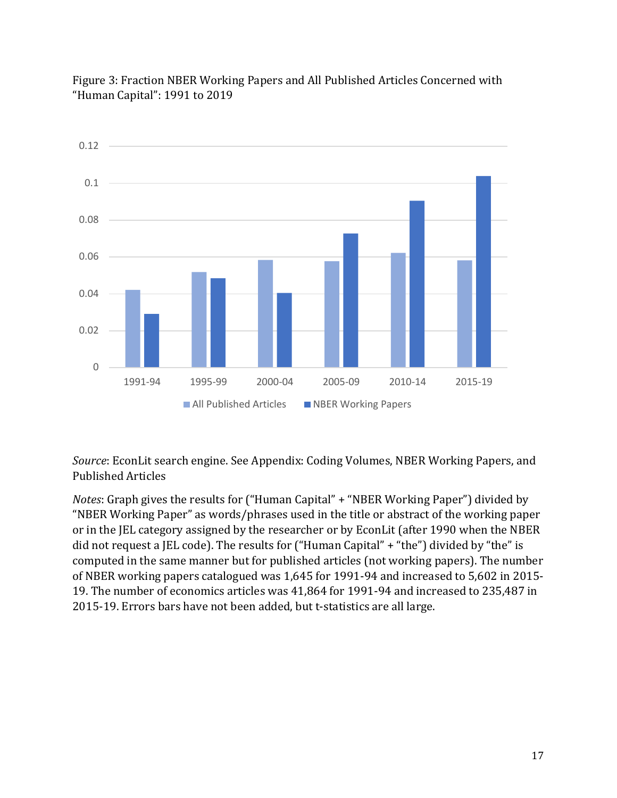

Figure 3: Fraction NBER Working Papers and All Published Articles Concerned with "Human Capital": 1991 to 2019

*Source*: EconLit search engine. See Appendix: Coding Volumes, NBER Working Papers, and Published Articles

*Notes*: Graph gives the results for ("Human Capital" + "NBER Working Paper") divided by "NBER Working Paper" as words/phrases used in the title or abstract of the working paper or in the JEL category assigned by the researcher or by EconLit (after 1990 when the NBER did not request a JEL code). The results for ("Human Capital" + "the") divided by "the" is computed in the same manner but for published articles (not working papers). The number of NBER working papers catalogued was 1,645 for 1991-94 and increased to 5,602 in 2015- 19. The number of economics articles was 41,864 for 1991-94 and increased to 235,487 in 2015-19. Errors bars have not been added, but t-statistics are all large.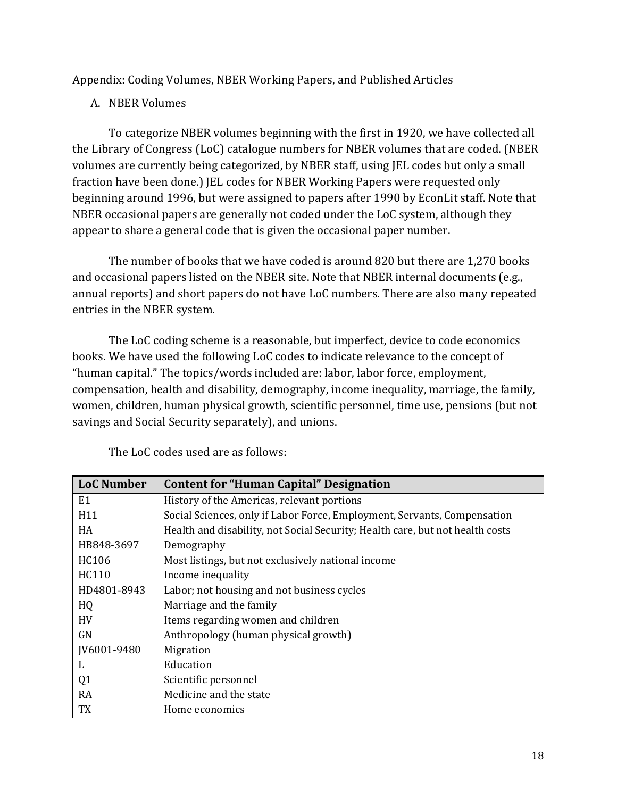Appendix: Coding Volumes, NBER Working Papers, and Published Articles

A. NBER Volumes

To categorize NBER volumes beginning with the first in 1920, we have collected all the Library of Congress (LoC) catalogue numbers for NBER volumes that are coded. (NBER volumes are currently being categorized, by NBER staff, using JEL codes but only a small fraction have been done.) JEL codes for NBER Working Papers were requested only beginning around 1996, but were assigned to papers after 1990 by EconLit staff. Note that NBER occasional papers are generally not coded under the LoC system, although they appear to share a general code that is given the occasional paper number.

The number of books that we have coded is around 820 but there are 1,270 books and occasional papers listed on the NBER site. Note that NBER internal documents (e.g., annual reports) and short papers do not have LoC numbers. There are also many repeated entries in the NBER system.

The LoC coding scheme is a reasonable, but imperfect, device to code economics books. We have used the following LoC codes to indicate relevance to the concept of "human capital." The topics/words included are: labor, labor force, employment, compensation, health and disability, demography, income inequality, marriage, the family, women, children, human physical growth, scientific personnel, time use, pensions (but not savings and Social Security separately), and unions.

| <b>LoC</b> Number | <b>Content for "Human Capital" Designation</b>                                |
|-------------------|-------------------------------------------------------------------------------|
| E1                | History of the Americas, relevant portions                                    |
| H <sub>11</sub>   | Social Sciences, only if Labor Force, Employment, Servants, Compensation      |
| HA                | Health and disability, not Social Security; Health care, but not health costs |
| HB848-3697        | Demography                                                                    |
| HC106             | Most listings, but not exclusively national income                            |
| HC110             | Income inequality                                                             |
| HD4801-8943       | Labor; not housing and not business cycles                                    |
| HQ                | Marriage and the family                                                       |
| HV                | Items regarding women and children                                            |
| <b>GN</b>         | Anthropology (human physical growth)                                          |
| JV6001-9480       | Migration                                                                     |
| L                 | Education                                                                     |
| Q <sub>1</sub>    | Scientific personnel                                                          |
| RA                | Medicine and the state                                                        |
| TX                | Home economics                                                                |

The LoC codes used are as follows: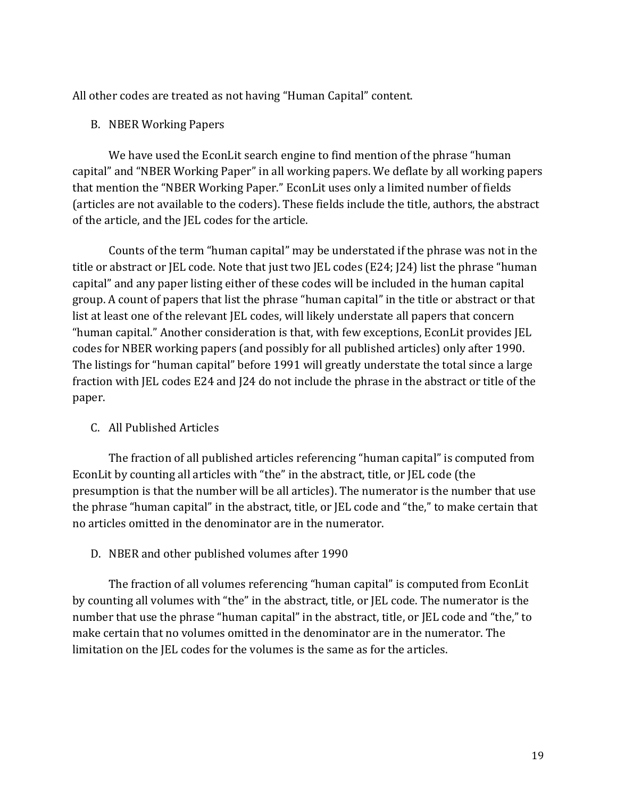All other codes are treated as not having "Human Capital" content.

B. NBER Working Papers

We have used the EconLit search engine to find mention of the phrase "human capital" and "NBER Working Paper" in all working papers. We deflate by all working papers that mention the "NBER Working Paper." EconLit uses only a limited number of fields (articles are not available to the coders). These fields include the title, authors, the abstract of the article, and the JEL codes for the article.

Counts of the term "human capital" may be understated if the phrase was not in the title or abstract or JEL code. Note that just two JEL codes (E24; J24) list the phrase "human capital" and any paper listing either of these codes will be included in the human capital group. A count of papers that list the phrase "human capital" in the title or abstract or that list at least one of the relevant JEL codes, will likely understate all papers that concern "human capital." Another consideration is that, with few exceptions, EconLit provides JEL codes for NBER working papers (and possibly for all published articles) only after 1990. The listings for "human capital" before 1991 will greatly understate the total since a large fraction with JEL codes E24 and J24 do not include the phrase in the abstract or title of the paper.

## C. All Published Articles

The fraction of all published articles referencing "human capital" is computed from EconLit by counting all articles with "the" in the abstract, title, or JEL code (the presumption is that the number will be all articles). The numerator is the number that use the phrase "human capital" in the abstract, title, or JEL code and "the," to make certain that no articles omitted in the denominator are in the numerator.

## D. NBER and other published volumes after 1990

The fraction of all volumes referencing "human capital" is computed from EconLit by counting all volumes with "the" in the abstract, title, or JEL code. The numerator is the number that use the phrase "human capital" in the abstract, title, or JEL code and "the," to make certain that no volumes omitted in the denominator are in the numerator. The limitation on the JEL codes for the volumes is the same as for the articles.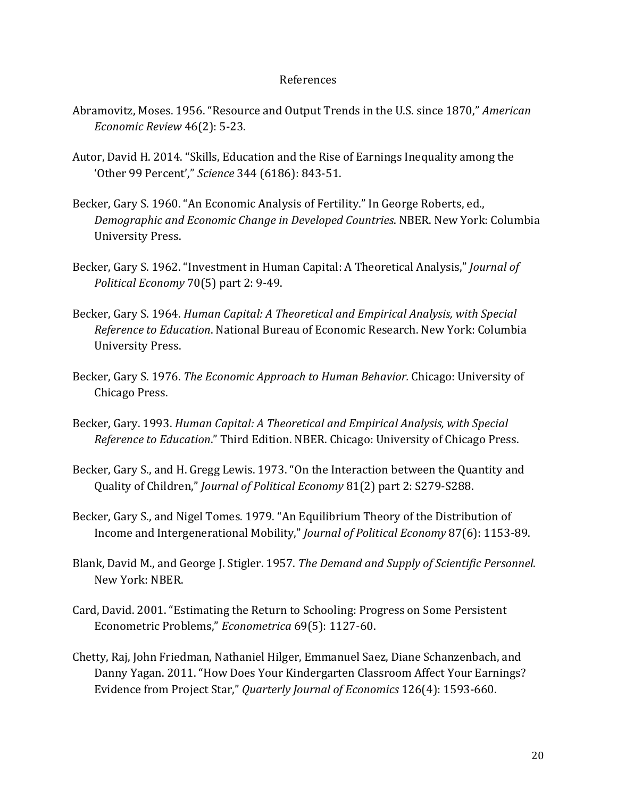#### References

- Abramovitz, Moses. 1956. "Resource and Output Trends in the U.S. since 1870," *American Economic Review* 46(2): 5-23.
- Autor, David H. 2014. "Skills, Education and the Rise of Earnings Inequality among the 'Other 99 Percent'," *Science* 344 (6186): 843-51.
- Becker, Gary S. 1960. "An Economic Analysis of Fertility." In George Roberts, ed., *Demographic and Economic Change in Developed Countries*. NBER. New York: Columbia University Press.
- Becker, Gary S. 1962. "Investment in Human Capital: A Theoretical Analysis," *Journal of Political Economy* 70(5) part 2: 9-49.
- Becker, Gary S. 1964. *Human Capital: A Theoretical and Empirical Analysis, with Special Reference to Education*. National Bureau of Economic Research. New York: Columbia University Press.
- Becker, Gary S. 1976. *The Economic Approach to Human Behavior.* Chicago: University of Chicago Press.
- Becker, Gary. 1993. *Human Capital: A Theoretical and Empirical Analysis, with Special Reference to Education*." Third Edition. NBER. Chicago: University of Chicago Press.
- Becker, Gary S., and H. Gregg Lewis. 1973. "On the Interaction between the Quantity and Quality of Children," *Journal of Political Economy* 81(2) part 2: S279-S288.
- Becker, Gary S., and Nigel Tomes. 1979. "An Equilibrium Theory of the Distribution of Income and Intergenerational Mobility," *Journal of Political Economy* 87(6): 1153-89.
- Blank, David M., and George J. Stigler. 1957. *The Demand and Supply of Scientific Personnel*. New York: NBER.
- Card, David. 2001. "Estimating the Return to Schooling: Progress on Some Persistent Econometric Problems," *Econometrica* 69(5): 1127-60.
- Chetty, Raj, John Friedman, Nathaniel Hilger, Emmanuel Saez, Diane Schanzenbach, and Danny Yagan. 2011. "How Does Your Kindergarten Classroom Affect Your Earnings? Evidence from Project Star," *Quarterly Journal of Economics* 126(4): 1593-660.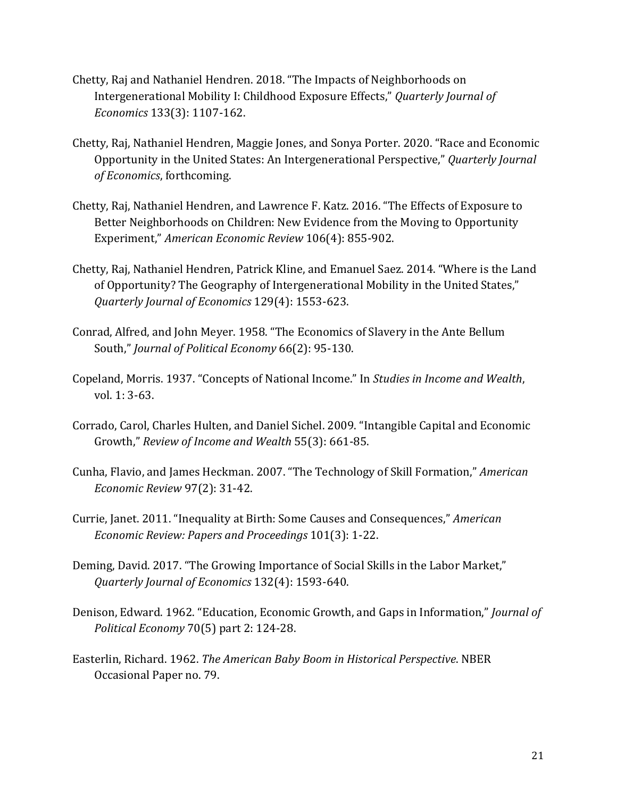- Chetty, Raj and Nathaniel Hendren. 2018. "The Impacts of Neighborhoods on Intergenerational Mobility I: Childhood Exposure Effects," *Quarterly Journal of Economics* 133(3): 1107-162.
- Chetty, Raj, Nathaniel Hendren, Maggie Jones, and Sonya Porter. 2020. "Race and Economic Opportunity in the United States: An Intergenerational Perspective," *Quarterly Journal of Economics*, forthcoming.
- Chetty, Raj, Nathaniel Hendren, and Lawrence F. Katz. 2016. "The Effects of Exposure to Better Neighborhoods on Children: New Evidence from the Moving to Opportunity Experiment," *American Economic Review* 106(4): 855-902.
- Chetty, Raj, Nathaniel Hendren, Patrick Kline, and Emanuel Saez. 2014. "Where is the Land of Opportunity? The Geography of Intergenerational Mobility in the United States," *Quarterly Journal of Economics* 129(4): 1553-623.
- Conrad, Alfred, and John Meyer. 1958. "The Economics of Slavery in the Ante Bellum South," *Journal of Political Economy* 66(2): 95-130.
- Copeland, Morris. 1937. "Concepts of National Income." In *Studies in Income and Wealth*, vol. 1: 3-63.
- Corrado, Carol, Charles Hulten, and Daniel Sichel. 2009. "Intangible Capital and Economic Growth," *Review of Income and Wealth* 55(3): 661-85.
- Cunha, Flavio, and James Heckman. 2007. "The Technology of Skill Formation," *American Economic Review* 97(2): 31-42.
- Currie, Janet. 2011. "Inequality at Birth: Some Causes and Consequences," *American Economic Review: Papers and Proceedings* 101(3): 1-22.
- Deming, David. 2017. "The Growing Importance of Social Skills in the Labor Market," *Quarterly Journal of Economics* 132(4): 1593-640.
- Denison, Edward. 1962. "Education, Economic Growth, and Gaps in Information," *Journal of Political Economy* 70(5) part 2: 124-28.
- Easterlin, Richard. 1962. *The American Baby Boom in Historical Perspective*. NBER Occasional Paper no. 79.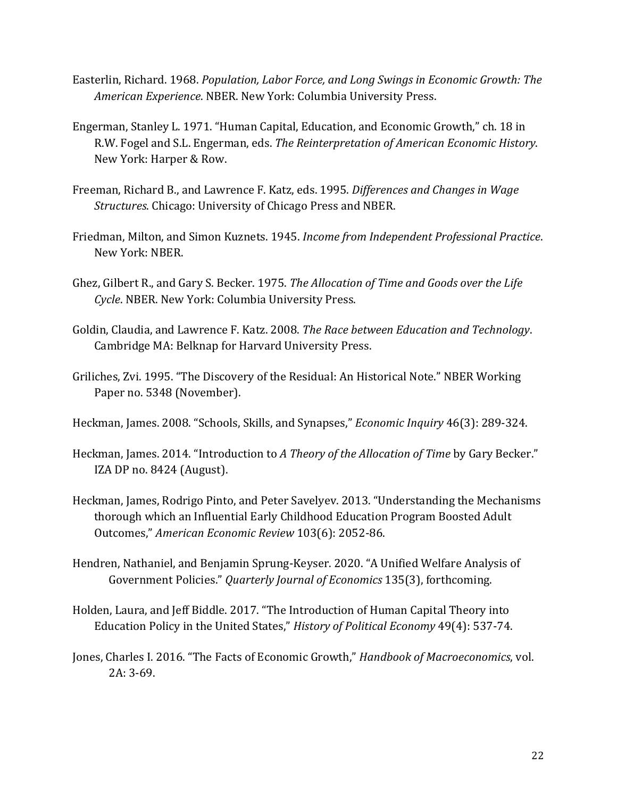- Easterlin, Richard. 1968. *Population, Labor Force, and Long Swings in Economic Growth: The American Experience*. NBER. New York: Columbia University Press.
- Engerman, Stanley L. 1971. "Human Capital, Education, and Economic Growth," ch. 18 in R.W. Fogel and S.L. Engerman, eds. *The Reinterpretation of American Economic History*. New York: Harper & Row.
- Freeman, Richard B., and Lawrence F. Katz, eds. 1995. *Differences and Changes in Wage Structures*. Chicago: University of Chicago Press and NBER.
- Friedman, Milton, and Simon Kuznets. 1945. *Income from Independent Professional Practice*. New York: NBER.
- Ghez, Gilbert R., and Gary S. Becker. 1975. *The Allocation of Time and Goods over the Life Cycle*. NBER. New York: Columbia University Press.
- Goldin, Claudia, and Lawrence F. Katz. 2008. *The Race between Education and Technology*. Cambridge MA: Belknap for Harvard University Press.
- Griliches, Zvi. 1995. "The Discovery of the Residual: An Historical Note." NBER Working Paper no. 5348 (November).
- Heckman, James. 2008. "Schools, Skills, and Synapses," *Economic Inquiry* 46(3): 289-324.
- Heckman, James. 2014. "Introduction to *A Theory of the Allocation of Time* by Gary Becker." IZA DP no. 8424 (August).
- Heckman, James, Rodrigo Pinto, and Peter Savelyev. 2013. "Understanding the Mechanisms thorough which an Influential Early Childhood Education Program Boosted Adult Outcomes," *American Economic Review* 103(6): 2052-86.
- Hendren, Nathaniel, and Benjamin Sprung-Keyser. 2020. "A Unified Welfare Analysis of Government Policies." *Quarterly Journal of Economics* 135(3), forthcoming.
- Holden, Laura, and Jeff Biddle. 2017. "The Introduction of Human Capital Theory into Education Policy in the United States," *History of Political Economy* 49(4): 537-74.
- Jones, Charles I. 2016. "The Facts of Economic Growth," *Handbook of Macroeconomics*, vol. 2A: 3-69.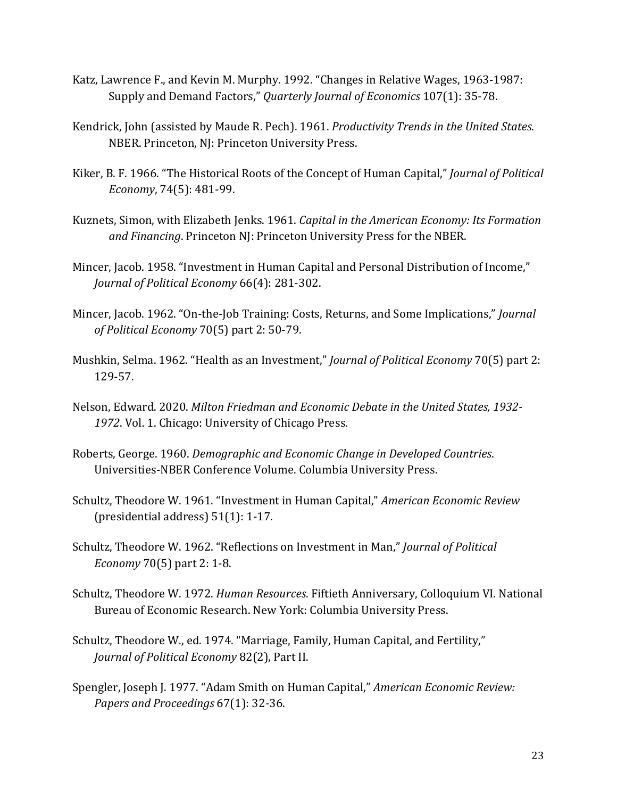- Katz, Lawrence F., and Kevin M. Murphy. 1992. "Changes in Relative Wages, 1963-1987: Supply and Demand Factors," *Quarterly Journal of Economics* 107(1): 35-78.
- Kendrick, John (assisted by Maude R. Pech). 1961. *Productivity Trends in the United States*. NBER. Princeton, NJ: Princeton University Press.
- Kiker, B. F. 1966. "The Historical Roots of the Concept of Human Capital," *Journal of Political Economy*, 74(5): 481-99.
- Kuznets, Simon, with Elizabeth Jenks. 1961. *Capital in the American Economy: Its Formation and Financing*. Princeton NJ: Princeton University Press for the NBER.
- Mincer, Jacob. 1958. "Investment in Human Capital and Personal Distribution of Income," *Journal of Political Economy* 66(4): 281-302.
- Mincer, Jacob. 1962. "On-the-Job Training: Costs, Returns, and Some Implications," *Journal of Political Economy* 70(5) part 2: 50-79.
- Mushkin, Selma. 1962. "Health as an Investment," *Journal of Political Economy* 70(5) part 2: 129-57.
- Nelson, Edward. 2020. *Milton Friedman and Economic Debate in the United States, 1932- 1972*. Vol. 1. Chicago: University of Chicago Press.
- Roberts, George. 1960. *Demographic and Economic Change in Developed Countries*. Universities-NBER Conference Volume. Columbia University Press.
- Schultz, Theodore W. 1961. "Investment in Human Capital," *American Economic Review* (presidential address) 51(1): 1-17.
- Schultz, Theodore W. 1962. "Reflections on Investment in Man," *Journal of Political Economy* 70(5) part 2: 1-8.
- Schultz, Theodore W. 1972. *Human Resources*. Fiftieth Anniversary, Colloquium VI. National Bureau of Economic Research. New York: Columbia University Press.
- Schultz, Theodore W., ed. 1974. "Marriage, Family, Human Capital, and Fertility," *Journal of Political Economy* 82(2), Part II.
- Spengler, Joseph J. 1977. "Adam Smith on Human Capital," *American Economic Review: Papers and Proceedings* 67(1): 32-36.